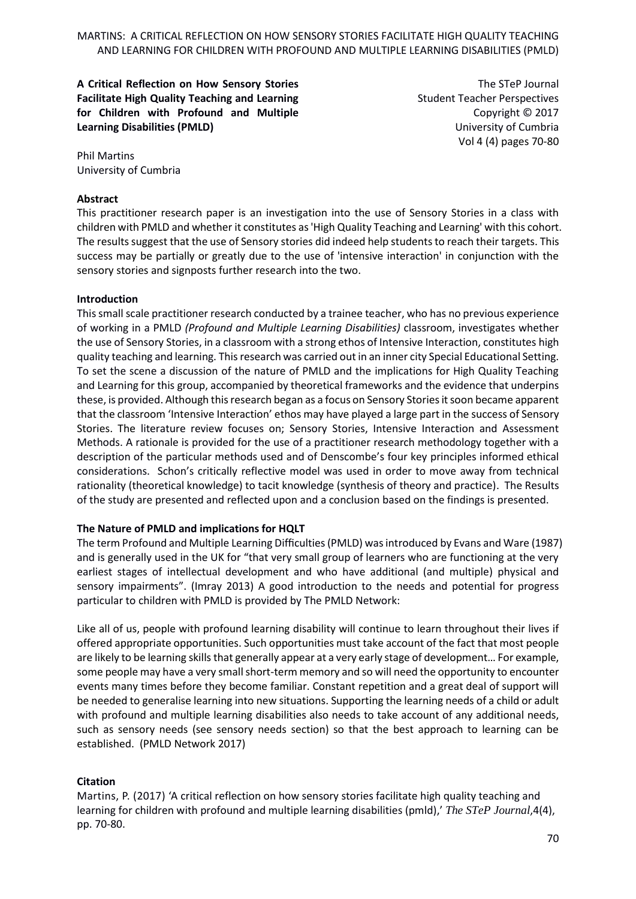**A Critical Reflection on How Sensory Stories Facilitate High Quality Teaching and Learning for Children with Profound and Multiple Learning Disabilities (PMLD)**

The STeP Journal Student Teacher Perspectives Copyright © 2017 University of Cumbria Vol 4 (4) pages 70-80

Phil Martins University of Cumbria

#### **Abstract**

This practitioner research paper is an investigation into the use of Sensory Stories in a class with children with PMLD and whether it constitutes as 'High Quality Teaching and Learning' with this cohort. The results suggest that the use of Sensory stories did indeed help students to reach their targets. This success may be partially or greatly due to the use of 'intensive interaction' in conjunction with the sensory stories and signposts further research into the two.

#### **Introduction**

This small scale practitioner research conducted by a trainee teacher, who has no previous experience of working in a PMLD *(Profound and Multiple Learning Disabilities)* classroom, investigates whether the use of Sensory Stories, in a classroom with a strong ethos of Intensive Interaction, constitutes high quality teaching and learning. This research was carried out in an inner city Special Educational Setting. To set the scene a discussion of the nature of PMLD and the implications for High Quality Teaching and Learning for this group, accompanied by theoretical frameworks and the evidence that underpins these, is provided. Although this research began as a focus on Sensory Stories it soon became apparent that the classroom 'Intensive Interaction' ethos may have played a large part in the success of Sensory Stories. The literature review focuses on; Sensory Stories, Intensive Interaction and Assessment Methods. A rationale is provided for the use of a practitioner research methodology together with a description of the particular methods used and of Denscombe's four key principles informed ethical considerations. Schon's critically reflective model was used in order to move away from technical rationality (theoretical knowledge) to tacit knowledge (synthesis of theory and practice). The Results of the study are presented and reflected upon and a conclusion based on the findings is presented.

#### **The Nature of PMLD and implications for HQLT**

The term Profound and Multiple Learning Difficulties (PMLD) was introduced by Evans and Ware (1987) and is generally used in the UK for "that very small group of learners who are functioning at the very earliest stages of intellectual development and who have additional (and multiple) physical and sensory impairments". (Imray 2013) A good introduction to the needs and potential for progress particular to children with PMLD is provided by The PMLD Network:

Like all of us, people with profound learning disability will continue to learn throughout their lives if offered appropriate opportunities. Such opportunities must take account of the fact that most people are likely to be learning skills that generally appear at a very early stage of development… For example, some people may have a very small short-term memory and so will need the opportunity to encounter events many times before they become familiar. Constant repetition and a great deal of support will be needed to generalise learning into new situations. Supporting the learning needs of a child or adult with profound and multiple learning disabilities also needs to take account of any additional needs, such as sensory needs (see sensory needs section) so that the best approach to learning can be established. (PMLD Network 2017)

#### **Citation**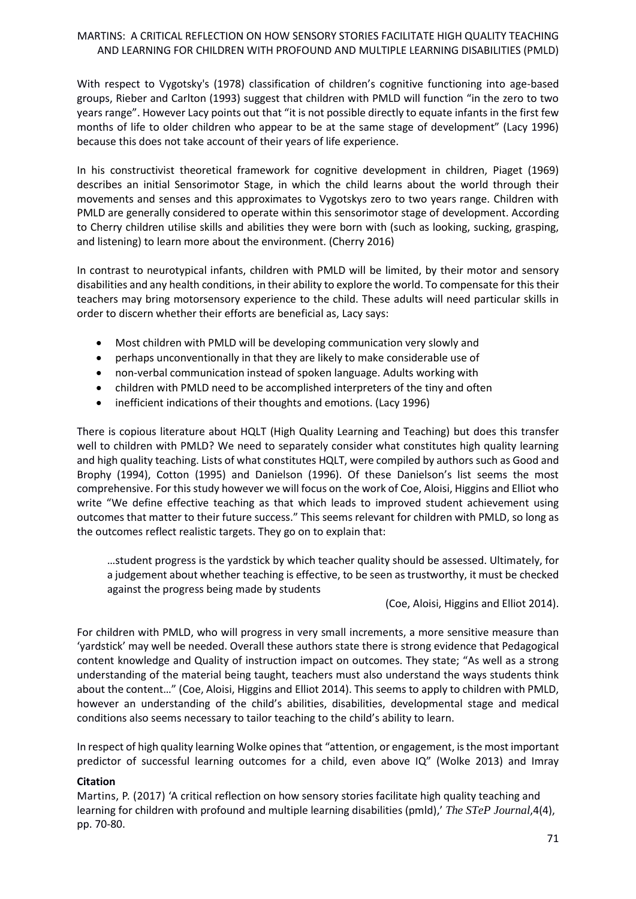With respect to Vygotsky's (1978) classification of children's cognitive functioning into age-based groups, Rieber and Carlton (1993) suggest that children with PMLD will function "in the zero to two years range". However Lacy points out that "it is not possible directly to equate infants in the first few months of life to older children who appear to be at the same stage of development" (Lacy 1996) because this does not take account of their years of life experience.

In his constructivist theoretical framework for cognitive development in children, Piaget (1969) describes an initial Sensorimotor Stage, in which the child learns about the world through their movements and senses and this approximates to Vygotskys zero to two years range. Children with PMLD are generally considered to operate within this sensorimotor stage of development. According to Cherry children utilise skills and abilities they were born with (such as looking, sucking, grasping, and listening) to learn more about the environment. (Cherry 2016)

In contrast to neurotypical infants, children with PMLD will be limited, by their motor and sensory disabilities and any health conditions, in their ability to explore the world. To compensate for this their teachers may bring motorsensory experience to the child. These adults will need particular skills in order to discern whether their efforts are beneficial as, Lacy says:

- Most children with PMLD will be developing communication very slowly and
- perhaps unconventionally in that they are likely to make considerable use of
- non-verbal communication instead of spoken language. Adults working with
- children with PMLD need to be accomplished interpreters of the tiny and often
- inefficient indications of their thoughts and emotions. (Lacy 1996)

There is copious literature about HQLT (High Quality Learning and Teaching) but does this transfer well to children with PMLD? We need to separately consider what constitutes high quality learning and high quality teaching. Lists of what constitutes HQLT, were compiled by authors such as Good and Brophy (1994), Cotton (1995) and Danielson (1996). Of these Danielson's list seems the most comprehensive. For this study however we will focus on the work of Coe, Aloisi, Higgins and Elliot who write "We define effective teaching as that which leads to improved student achievement using outcomes that matter to their future success." This seems relevant for children with PMLD, so long as the outcomes reflect realistic targets. They go on to explain that:

…student progress is the yardstick by which teacher quality should be assessed. Ultimately, for a judgement about whether teaching is effective, to be seen as trustworthy, it must be checked against the progress being made by students

(Coe, Aloisi, Higgins and Elliot 2014).

For children with PMLD, who will progress in very small increments, a more sensitive measure than 'yardstick' may well be needed. Overall these authors state there is strong evidence that Pedagogical content knowledge and Quality of instruction impact on outcomes. They state; "As well as a strong understanding of the material being taught, teachers must also understand the ways students think about the content…" (Coe, Aloisi, Higgins and Elliot 2014). This seems to apply to children with PMLD, however an understanding of the child's abilities, disabilities, developmental stage and medical conditions also seems necessary to tailor teaching to the child's ability to learn.

In respect of high quality learning Wolke opines that "attention, or engagement, is the most important predictor of successful learning outcomes for a child, even above IQ" (Wolke 2013) and Imray

# **Citation**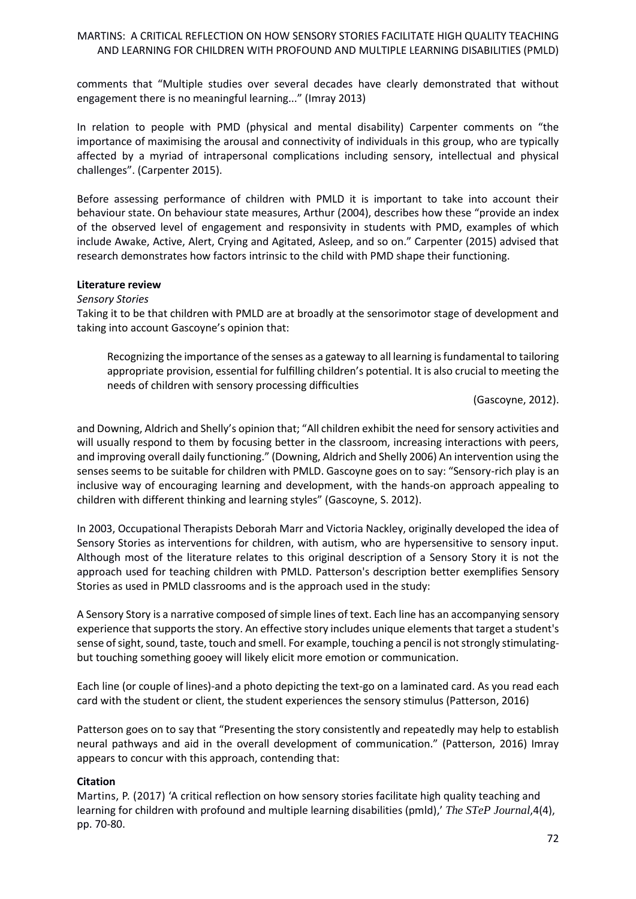comments that "Multiple studies over several decades have clearly demonstrated that without engagement there is no meaningful learning..." (Imray 2013)

In relation to people with PMD (physical and mental disability) Carpenter comments on "the importance of maximising the arousal and connectivity of individuals in this group, who are typically affected by a myriad of intrapersonal complications including sensory, intellectual and physical challenges". (Carpenter 2015).

Before assessing performance of children with PMLD it is important to take into account their behaviour state. On behaviour state measures, Arthur (2004), describes how these "provide an index of the observed level of engagement and responsivity in students with PMD, examples of which include Awake, Active, Alert, Crying and Agitated, Asleep, and so on." Carpenter (2015) advised that research demonstrates how factors intrinsic to the child with PMD shape their functioning.

### **Literature review**

*Sensory Stories*

Taking it to be that children with PMLD are at broadly at the sensorimotor stage of development and taking into account Gascoyne's opinion that:

Recognizing the importance of the senses as a gateway to all learning is fundamental to tailoring appropriate provision, essential for fulfilling children's potential. It is also crucial to meeting the needs of children with sensory processing difficulties

(Gascoyne, 2012).

and Downing, Aldrich and Shelly's opinion that; "All children exhibit the need for sensory activities and will usually respond to them by focusing better in the classroom, increasing interactions with peers, and improving overall daily functioning." (Downing, Aldrich and Shelly 2006) An intervention using the senses seems to be suitable for children with PMLD. Gascoyne goes on to say: "Sensory-rich play is an inclusive way of encouraging learning and development, with the hands-on approach appealing to children with different thinking and learning styles" (Gascoyne, S. 2012).

In 2003, Occupational Therapists Deborah Marr and Victoria Nackley, originally developed the idea of Sensory Stories as interventions for children, with autism, who are hypersensitive to sensory input. Although most of the literature relates to this original description of a Sensory Story it is not the approach used for teaching children with PMLD. Patterson's description better exemplifies Sensory Stories as used in PMLD classrooms and is the approach used in the study:

A Sensory Story is a narrative composed of simple lines of text. Each line has an accompanying sensory experience that supports the story. An effective story includes unique elements that target a student's sense of sight, sound, taste, touch and smell. For example, touching a pencil is not strongly stimulatingbut touching something gooey will likely elicit more emotion or communication.

Each line (or couple of lines)-and a photo depicting the text-go on a laminated card. As you read each card with the student or client, the student experiences the sensory stimulus (Patterson, 2016)

Patterson goes on to say that "Presenting the story consistently and repeatedly may help to establish neural pathways and aid in the overall development of communication." (Patterson, 2016) Imray appears to concur with this approach, contending that:

### **Citation**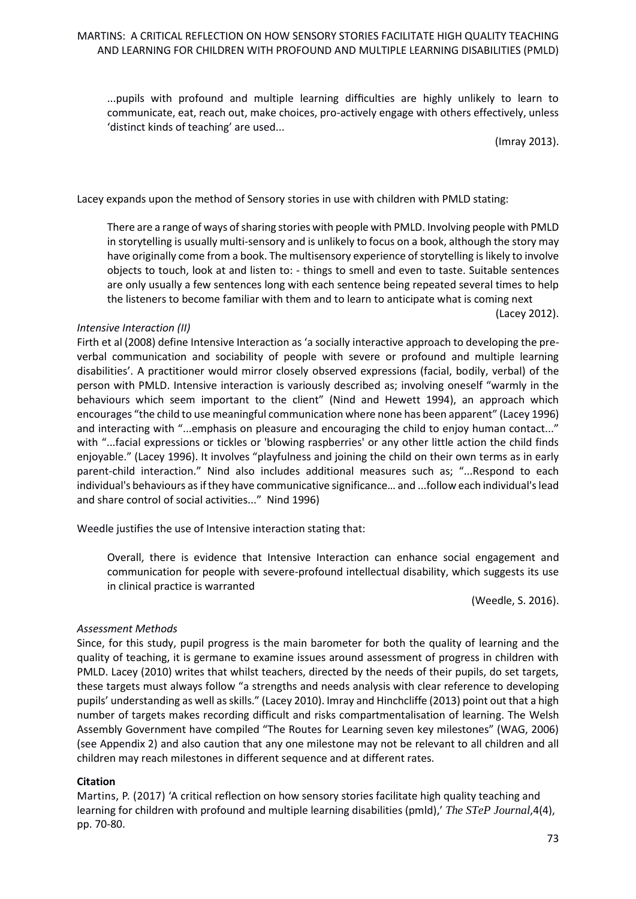...pupils with profound and multiple learning difficulties are highly unlikely to learn to communicate, eat, reach out, make choices, pro-actively engage with others effectively, unless 'distinct kinds of teaching' are used...

(Imray 2013).

Lacey expands upon the method of Sensory stories in use with children with PMLD stating:

There are a range of ways of sharing stories with people with PMLD. Involving people with PMLD in storytelling is usually multi-sensory and is unlikely to focus on a book, although the story may have originally come from a book. The multisensory experience of storytelling is likely to involve objects to touch, look at and listen to: - things to smell and even to taste. Suitable sentences are only usually a few sentences long with each sentence being repeated several times to help the listeners to become familiar with them and to learn to anticipate what is coming next

(Lacey 2012).

### *Intensive Interaction (II)*

Firth et al (2008) define Intensive Interaction as 'a socially interactive approach to developing the preverbal communication and sociability of people with severe or profound and multiple learning disabilities'. A practitioner would mirror closely observed expressions (facial, bodily, verbal) of the person with PMLD. Intensive interaction is variously described as; involving oneself "warmly in the behaviours which seem important to the client" (Nind and Hewett 1994), an approach which encourages "the child to use meaningful communication where none has been apparent" (Lacey 1996) and interacting with "...emphasis on pleasure and encouraging the child to enjoy human contact..." with "...facial expressions or tickles or 'blowing raspberries' or any other little action the child finds enjoyable." (Lacey 1996). It involves "playfulness and joining the child on their own terms as in early parent-child interaction." Nind also includes additional measures such as; "...Respond to each individual's behaviours as if they have communicative significance… and ...follow each individual's lead and share control of social activities..." Nind 1996)

Weedle justifies the use of Intensive interaction stating that:

Overall, there is evidence that Intensive Interaction can enhance social engagement and communication for people with severe-profound intellectual disability, which suggests its use in clinical practice is warranted

(Weedle, S. 2016).

### *Assessment Methods*

Since, for this study, pupil progress is the main barometer for both the quality of learning and the quality of teaching, it is germane to examine issues around assessment of progress in children with PMLD. Lacey (2010) writes that whilst teachers, directed by the needs of their pupils, do set targets, these targets must always follow "a strengths and needs analysis with clear reference to developing pupils' understanding as well as skills." (Lacey 2010). Imray and Hinchcliffe (2013) point out that a high number of targets makes recording difficult and risks compartmentalisation of learning. The Welsh Assembly Government have compiled "The Routes for Learning seven key milestones" (WAG, 2006) (see Appendix 2) and also caution that any one milestone may not be relevant to all children and all children may reach milestones in different sequence and at different rates.

### **Citation**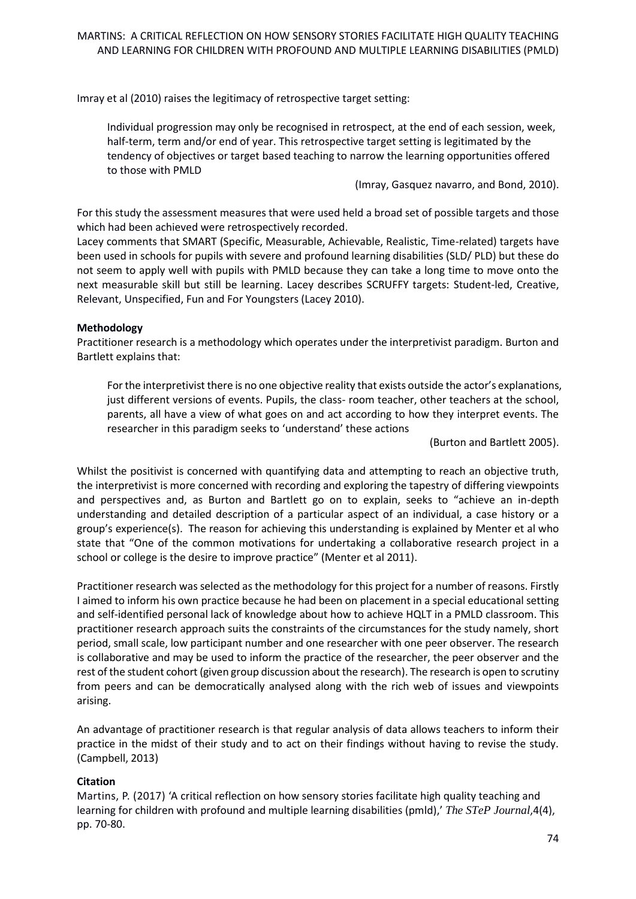Imray et al (2010) raises the legitimacy of retrospective target setting:

Individual progression may only be recognised in retrospect, at the end of each session, week, half-term, term and/or end of year. This retrospective target setting is legitimated by the tendency of objectives or target based teaching to narrow the learning opportunities offered to those with PMLD

(Imray, Gasquez navarro, and Bond, 2010).

For this study the assessment measures that were used held a broad set of possible targets and those which had been achieved were retrospectively recorded.

Lacey comments that SMART (Specific, Measurable, Achievable, Realistic, Time-related) targets have been used in schools for pupils with severe and profound learning disabilities (SLD/ PLD) but these do not seem to apply well with pupils with PMLD because they can take a long time to move onto the next measurable skill but still be learning. Lacey describes SCRUFFY targets: Student-led, Creative, Relevant, Unspecified, Fun and For Youngsters (Lacey 2010).

## **Methodology**

Practitioner research is a methodology which operates under the interpretivist paradigm. Burton and Bartlett explains that:

For the interpretivist there is no one objective reality that exists outside the actor's explanations, just different versions of events. Pupils, the class- room teacher, other teachers at the school, parents, all have a view of what goes on and act according to how they interpret events. The researcher in this paradigm seeks to 'understand' these actions

(Burton and Bartlett 2005).

Whilst the positivist is concerned with quantifying data and attempting to reach an objective truth, the interpretivist is more concerned with recording and exploring the tapestry of differing viewpoints and perspectives and, as Burton and Bartlett go on to explain, seeks to "achieve an in-depth understanding and detailed description of a particular aspect of an individual, a case history or a group's experience(s). The reason for achieving this understanding is explained by Menter et al who state that "One of the common motivations for undertaking a collaborative research project in a school or college is the desire to improve practice" (Menter et al 2011).

Practitioner research was selected as the methodology for this project for a number of reasons. Firstly I aimed to inform his own practice because he had been on placement in a special educational setting and self-identified personal lack of knowledge about how to achieve HQLT in a PMLD classroom. This practitioner research approach suits the constraints of the circumstances for the study namely, short period, small scale, low participant number and one researcher with one peer observer. The research is collaborative and may be used to inform the practice of the researcher, the peer observer and the rest of the student cohort (given group discussion about the research). The research is open to scrutiny from peers and can be democratically analysed along with the rich web of issues and viewpoints arising.

An advantage of practitioner research is that regular analysis of data allows teachers to inform their practice in the midst of their study and to act on their findings without having to revise the study. (Campbell, 2013)

# **Citation**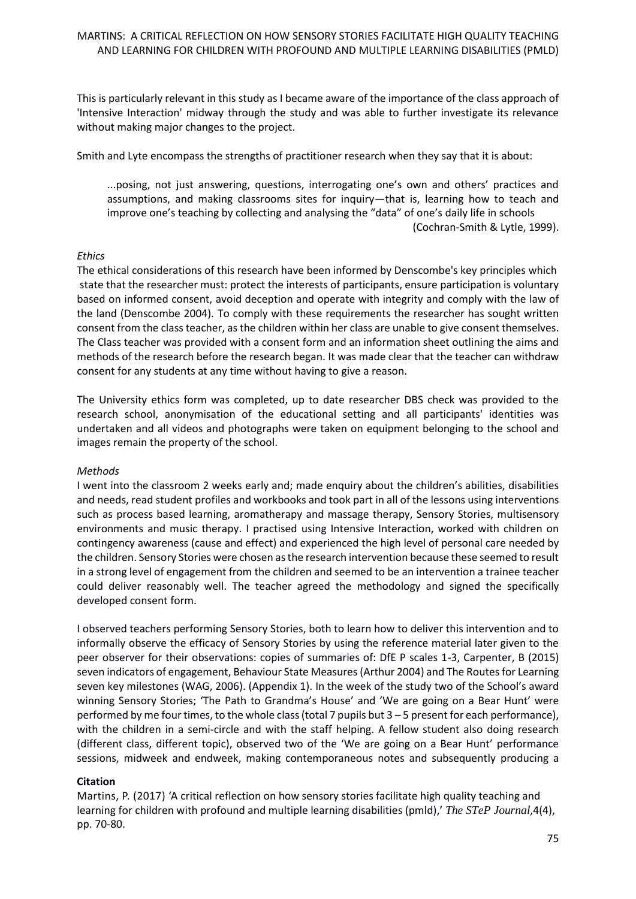This is particularly relevant in this study as I became aware of the importance of the class approach of 'Intensive Interaction' midway through the study and was able to further investigate its relevance without making major changes to the project.

Smith and Lyte encompass the strengths of practitioner research when they say that it is about:

...posing, not just answering, questions, interrogating one's own and others' practices and assumptions, and making classrooms sites for inquiry—that is, learning how to teach and improve one's teaching by collecting and analysing the "data" of one's daily life in schools (Cochran-Smith & Lytle, 1999).

### *Ethics*

The ethical considerations of this research have been informed by Denscombe's key principles which state that the researcher must: protect the interests of participants, ensure participation is voluntary based on informed consent, avoid deception and operate with integrity and comply with the law of the land (Denscombe 2004). To comply with these requirements the researcher has sought written consent from the class teacher, as the children within her class are unable to give consent themselves. The Class teacher was provided with a consent form and an information sheet outlining the aims and methods of the research before the research began. It was made clear that the teacher can withdraw consent for any students at any time without having to give a reason.

The University ethics form was completed, up to date researcher DBS check was provided to the research school, anonymisation of the educational setting and all participants' identities was undertaken and all videos and photographs were taken on equipment belonging to the school and images remain the property of the school.

### *Methods*

I went into the classroom 2 weeks early and; made enquiry about the children's abilities, disabilities and needs, read student profiles and workbooks and took part in all of the lessons using interventions such as process based learning, aromatherapy and massage therapy, Sensory Stories, multisensory environments and music therapy. I practised using Intensive Interaction, worked with children on contingency awareness (cause and effect) and experienced the high level of personal care needed by the children. Sensory Stories were chosen as the research intervention because these seemed to result in a strong level of engagement from the children and seemed to be an intervention a trainee teacher could deliver reasonably well. The teacher agreed the methodology and signed the specifically developed consent form.

I observed teachers performing Sensory Stories, both to learn how to deliver this intervention and to informally observe the efficacy of Sensory Stories by using the reference material later given to the peer observer for their observations: copies of summaries of: DfE P scales 1-3, Carpenter, B (2015) seven indicators of engagement, Behaviour State Measures (Arthur 2004) and The Routes for Learning seven key milestones (WAG, 2006). (Appendix 1). In the week of the study two of the School's award winning Sensory Stories; 'The Path to Grandma's House' and 'We are going on a Bear Hunt' were performed by me four times, to the whole class (total 7 pupils but 3 – 5 present for each performance), with the children in a semi-circle and with the staff helping. A fellow student also doing research (different class, different topic), observed two of the 'We are going on a Bear Hunt' performance sessions, midweek and endweek, making contemporaneous notes and subsequently producing a

### **Citation**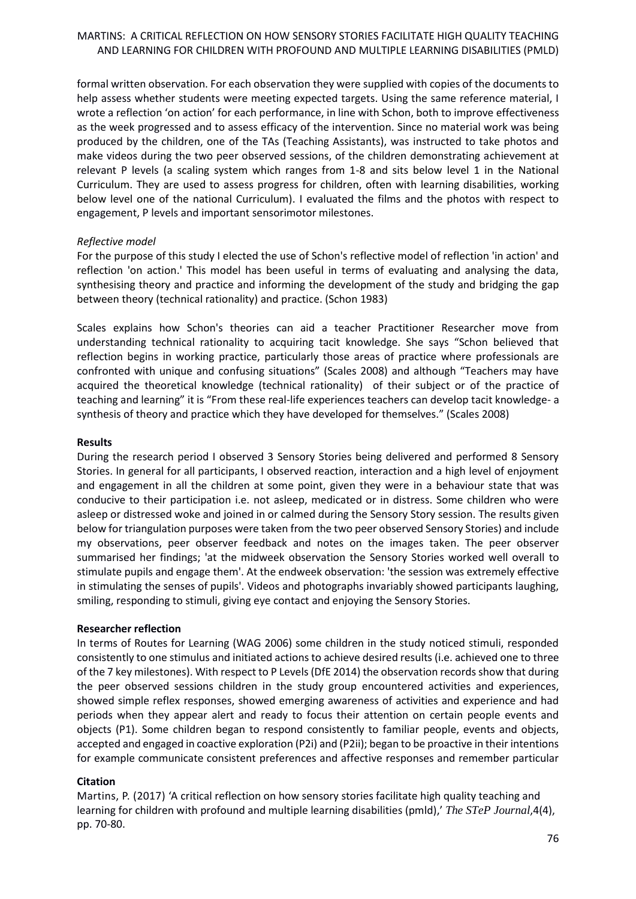formal written observation. For each observation they were supplied with copies of the documents to help assess whether students were meeting expected targets. Using the same reference material, I wrote a reflection 'on action' for each performance, in line with Schon, both to improve effectiveness as the week progressed and to assess efficacy of the intervention. Since no material work was being produced by the children, one of the TAs (Teaching Assistants), was instructed to take photos and make videos during the two peer observed sessions, of the children demonstrating achievement at relevant P levels (a scaling system which ranges from 1-8 and sits below level 1 in the National Curriculum. They are used to assess progress for children, often with learning disabilities, working below level one of the national Curriculum). I evaluated the films and the photos with respect to engagement, P levels and important sensorimotor milestones.

## *Reflective model*

For the purpose of this study I elected the use of Schon's reflective model of reflection 'in action' and reflection 'on action.' This model has been useful in terms of evaluating and analysing the data, synthesising theory and practice and informing the development of the study and bridging the gap between theory (technical rationality) and practice. (Schon 1983)

Scales explains how Schon's theories can aid a teacher Practitioner Researcher move from understanding technical rationality to acquiring tacit knowledge. She says "Schon believed that reflection begins in working practice, particularly those areas of practice where professionals are confronted with unique and confusing situations" (Scales 2008) and although "Teachers may have acquired the theoretical knowledge (technical rationality) of their subject or of the practice of teaching and learning" it is "From these real-life experiences teachers can develop tacit knowledge- a synthesis of theory and practice which they have developed for themselves." (Scales 2008)

### **Results**

During the research period I observed 3 Sensory Stories being delivered and performed 8 Sensory Stories. In general for all participants, I observed reaction, interaction and a high level of enjoyment and engagement in all the children at some point, given they were in a behaviour state that was conducive to their participation i.e. not asleep, medicated or in distress. Some children who were asleep or distressed woke and joined in or calmed during the Sensory Story session. The results given below for triangulation purposes were taken from the two peer observed Sensory Stories) and include my observations, peer observer feedback and notes on the images taken. The peer observer summarised her findings; 'at the midweek observation the Sensory Stories worked well overall to stimulate pupils and engage them'. At the endweek observation: 'the session was extremely effective in stimulating the senses of pupils'. Videos and photographs invariably showed participants laughing, smiling, responding to stimuli, giving eye contact and enjoying the Sensory Stories.

### **Researcher reflection**

In terms of Routes for Learning (WAG 2006) some children in the study noticed stimuli, responded consistently to one stimulus and initiated actions to achieve desired results (i.e. achieved one to three of the 7 key milestones). With respect to P Levels (DfE 2014) the observation records show that during the peer observed sessions children in the study group encountered activities and experiences, showed simple reflex responses, showed emerging awareness of activities and experience and had periods when they appear alert and ready to focus their attention on certain people events and objects (P1). Some children began to respond consistently to familiar people, events and objects, accepted and engaged in coactive exploration (P2i) and (P2ii); began to be proactive in their intentions for example communicate consistent preferences and affective responses and remember particular

# **Citation**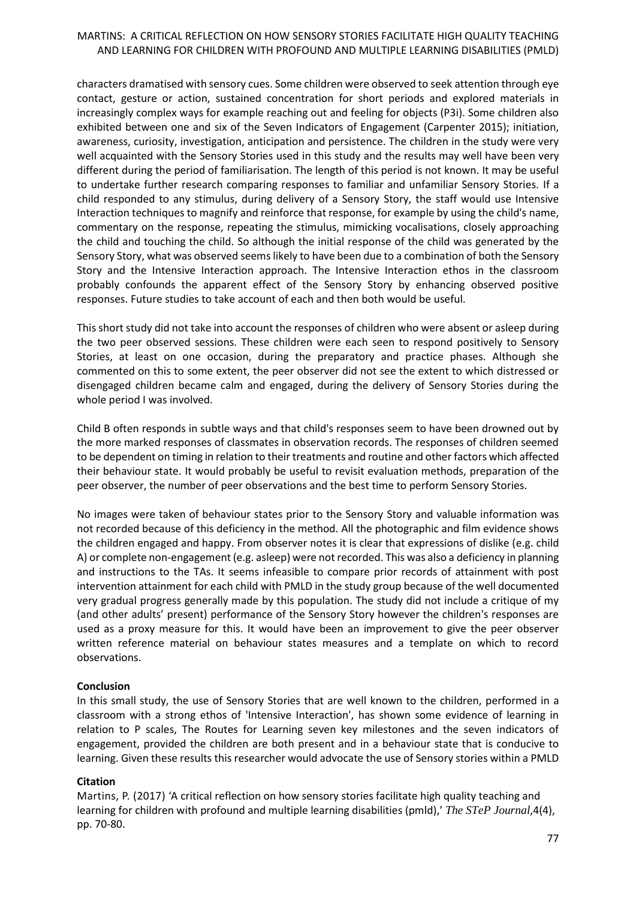characters dramatised with sensory cues. Some children were observed to seek attention through eye contact, gesture or action, sustained concentration for short periods and explored materials in increasingly complex ways for example reaching out and feeling for objects (P3i). Some children also exhibited between one and six of the Seven Indicators of Engagement (Carpenter 2015); initiation, awareness, curiosity, investigation, anticipation and persistence. The children in the study were very well acquainted with the Sensory Stories used in this study and the results may well have been very different during the period of familiarisation. The length of this period is not known. It may be useful to undertake further research comparing responses to familiar and unfamiliar Sensory Stories. If a child responded to any stimulus, during delivery of a Sensory Story, the staff would use Intensive Interaction techniques to magnify and reinforce that response, for example by using the child's name, commentary on the response, repeating the stimulus, mimicking vocalisations, closely approaching the child and touching the child. So although the initial response of the child was generated by the Sensory Story, what was observed seems likely to have been due to a combination of both the Sensory Story and the Intensive Interaction approach. The Intensive Interaction ethos in the classroom probably confounds the apparent effect of the Sensory Story by enhancing observed positive responses. Future studies to take account of each and then both would be useful.

This short study did not take into account the responses of children who were absent or asleep during the two peer observed sessions. These children were each seen to respond positively to Sensory Stories, at least on one occasion, during the preparatory and practice phases. Although she commented on this to some extent, the peer observer did not see the extent to which distressed or disengaged children became calm and engaged, during the delivery of Sensory Stories during the whole period I was involved.

Child B often responds in subtle ways and that child's responses seem to have been drowned out by the more marked responses of classmates in observation records. The responses of children seemed to be dependent on timing in relation to their treatments and routine and other factors which affected their behaviour state. It would probably be useful to revisit evaluation methods, preparation of the peer observer, the number of peer observations and the best time to perform Sensory Stories.

No images were taken of behaviour states prior to the Sensory Story and valuable information was not recorded because of this deficiency in the method. All the photographic and film evidence shows the children engaged and happy. From observer notes it is clear that expressions of dislike (e.g. child A) or complete non-engagement (e.g. asleep) were not recorded. This was also a deficiency in planning and instructions to the TAs. It seems infeasible to compare prior records of attainment with post intervention attainment for each child with PMLD in the study group because of the well documented very gradual progress generally made by this population. The study did not include a critique of my (and other adults' present) performance of the Sensory Story however the children's responses are used as a proxy measure for this. It would have been an improvement to give the peer observer written reference material on behaviour states measures and a template on which to record observations.

### **Conclusion**

In this small study, the use of Sensory Stories that are well known to the children, performed in a classroom with a strong ethos of 'Intensive Interaction', has shown some evidence of learning in relation to P scales, The Routes for Learning seven key milestones and the seven indicators of engagement, provided the children are both present and in a behaviour state that is conducive to learning. Given these results this researcher would advocate the use of Sensory stories within a PMLD

### **Citation**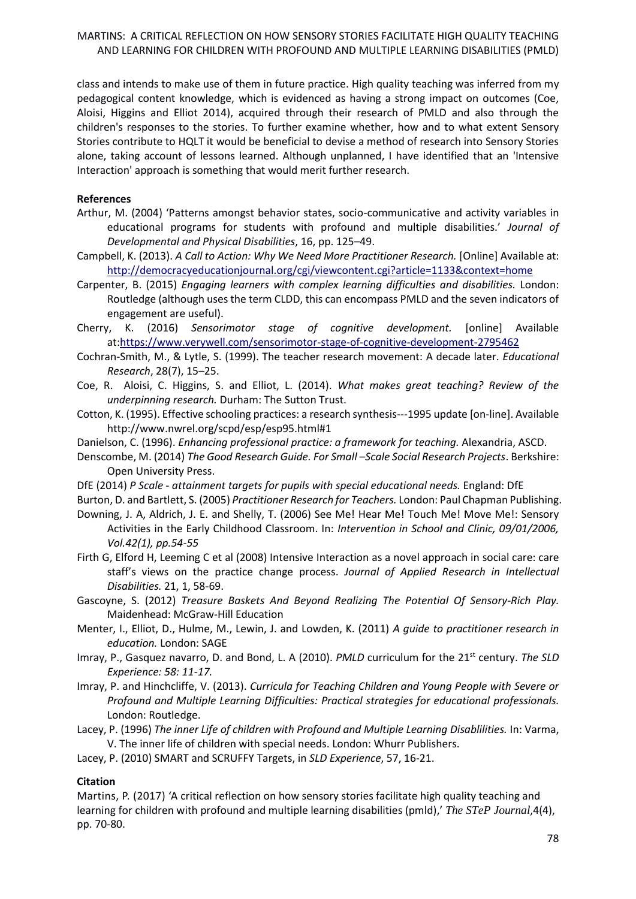class and intends to make use of them in future practice. High quality teaching was inferred from my pedagogical content knowledge, which is evidenced as having a strong impact on outcomes (Coe, Aloisi, Higgins and Elliot 2014), acquired through their research of PMLD and also through the children's responses to the stories. To further examine whether, how and to what extent Sensory Stories contribute to HQLT it would be beneficial to devise a method of research into Sensory Stories alone, taking account of lessons learned. Although unplanned, I have identified that an 'Intensive Interaction' approach is something that would merit further research.

### **References**

- Arthur, M. (2004) 'Patterns amongst behavior states, socio-communicative and activity variables in educational programs for students with profound and multiple disabilities.' *Journal of Developmental and Physical Disabilities*, 16, pp. 125–49.
- Campbell, K. (2013). *A Call to Action: Why We Need More Practitioner Research.* [Online] Available at: <http://democracyeducationjournal.org/cgi/viewcontent.cgi?article=1133&context=home>
- Carpenter, B. (2015) *Engaging learners with complex learning difficulties and disabilities.* London: Routledge (although uses the term CLDD, this can encompass PMLD and the seven indicators of engagement are useful).
- Cherry, K. (2016) *Sensorimotor stage of cognitive development.* [online] Available at[:https://www.verywell.com/sensorimotor-stage-of-cognitive-development-2795462](https://www.verywell.com/sensorimotor-stage-of-cognitive-development-2795462)
- Cochran-Smith, M., & Lytle, S. (1999). The teacher research movement: A decade later. *Educational Research*, 28(7), 15–25.
- Coe, R. Aloisi, C. Higgins, S. and Elliot, L. (2014). *What makes great teaching? Review of the underpinning research.* Durham: The Sutton Trust.
- Cotton, K. (1995). Effective schooling practices: a research synthesis---1995 update [on-line]. Available http://www.nwrel.org/scpd/esp/esp95.html#1
- Danielson, C. (1996). *Enhancing professional practice: a framework for teaching.* Alexandria, ASCD.
- Denscombe, M. (2014) *The Good Research Guide. For Small –Scale Social Research Projects*. Berkshire: Open University Press.
- DfE (2014) *P Scale - attainment targets for pupils with special educational needs.* England: DfE

Burton, D. and Bartlett, S. (2005) *Practitioner Research for Teachers.* London: Paul Chapman Publishing.

- Downing, J. A, Aldrich, J. E. and Shelly, T. (2006) See Me! Hear Me! Touch Me! Move Me!: Sensory Activities in the Early Childhood Classroom. In: *Intervention in School and Clinic, 09/01/2006, Vol.42(1), pp.54-55*
- Firth G, Elford H, Leeming C et al (2008) Intensive Interaction as a novel approach in social care: care staff's views on the practice change process. *Journal of Applied Research in Intellectual Disabilities.* 21, 1, 58-69.
- Gascoyne, S. (2012) *Treasure Baskets And Beyond Realizing The Potential Of Sensory-Rich Play.*  Maidenhead: McGraw-Hill Education
- Menter, I., Elliot, D., Hulme, M., Lewin, J. and Lowden, K. (2011) *A guide to practitioner research in education.* London: SAGE
- Imray, P., Gasquez navarro, D. and Bond, L. A (2010). *PMLD* curriculum for the 21st century. *The SLD Experience: 58: 11-17.*
- Imray, P. and Hinchcliffe, V. (2013). *Curricula for Teaching Children and Young People with Severe or Profound and Multiple Learning Difficulties: Practical strategies for educational professionals.* London: Routledge.
- Lacey, P. (1996) *The inner Life of children with Profound and Multiple Learning Disablilities.* In: Varma, V. The inner life of children with special needs. London: Whurr Publishers.

Lacey, P. (2010) SMART and SCRUFFY Targets, in *SLD Experience*, 57, 16-21.

# **Citation**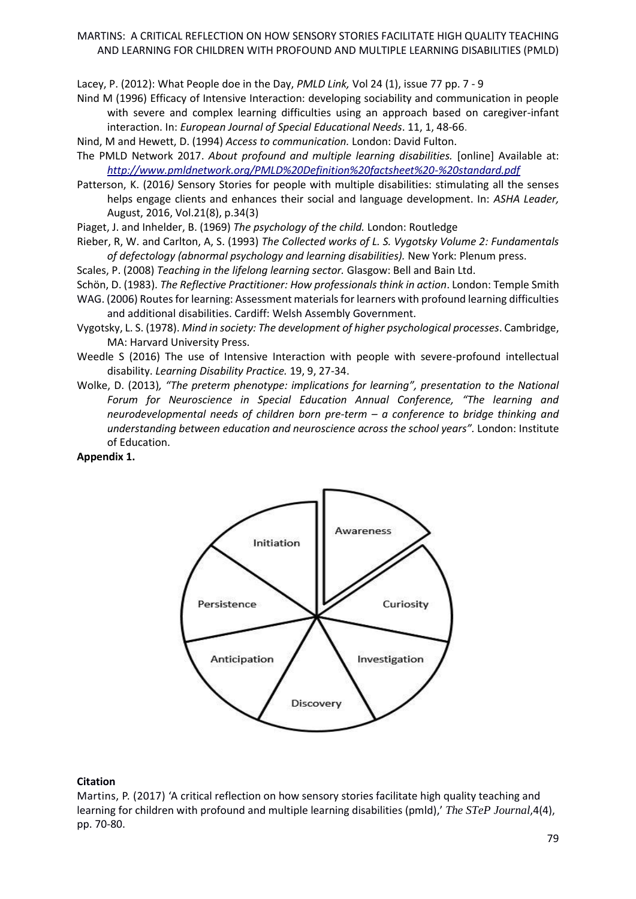Lacey, P. (2012): What People doe in the Day, *PMLD Link,* Vol 24 (1), issue 77 pp. 7 - 9

- Nind M (1996) Efficacy of Intensive Interaction: developing sociability and communication in people with severe and complex learning difficulties using an approach based on caregiver-infant interaction. In: *European Journal of Special Educational Needs*. 11, 1, 48-66.
- Nind, M and Hewett, D. (1994) *Access to communication.* London: David Fulton.
- The PMLD Network 2017. *About profound and multiple learning disabilities.* [online] Available at: *<http://www.pmldnetwork.org/PMLD%20Definition%20factsheet%20-%20standard.pdf>*
- Patterson, K. (2016*)* Sensory Stories for people with multiple disabilities: stimulating all the senses helps engage clients and enhances their social and language development. In: *ASHA Leader,*  August, 2016, Vol.21(8), p.34(3)
- Piaget, J. and Inhelder, B. (1969) *The psychology of the child.* London: Routledge
- Rieber, R, W. and Carlton, A, S. (1993) *The Collected works of L. S. Vygotsky Volume 2: Fundamentals of defectology (abnormal psychology and learning disabilities).* New York: Plenum press.
- Scales, P. (2008) *Teaching in the lifelong learning sector.* Glasgow: Bell and Bain Ltd.
- Schön, D. (1983). *The Reflective Practitioner: How professionals think in action*. London: Temple Smith
- WAG. (2006) Routes for learning: Assessment materials for learners with profound learning difficulties and additional disabilities. Cardiff: Welsh Assembly Government.
- Vygotsky, L. S. (1978). *Mind in society: The development of higher psychological processes*. Cambridge, MA: Harvard University Press.
- Weedle S (2016) The use of Intensive Interaction with people with severe-profound intellectual disability. *Learning Disability Practice.* 19, 9, 27-34.
- Wolke, D. (2013)*, "The preterm phenotype: implications for learning", presentation to the National Forum for Neuroscience in Special Education Annual Conference, "The learning and neurodevelopmental needs of children born pre-term – a conference to bridge thinking and understanding between education and neuroscience across the school years".* London: Institute of Education.

### **Appendix 1.**



#### **Citation**